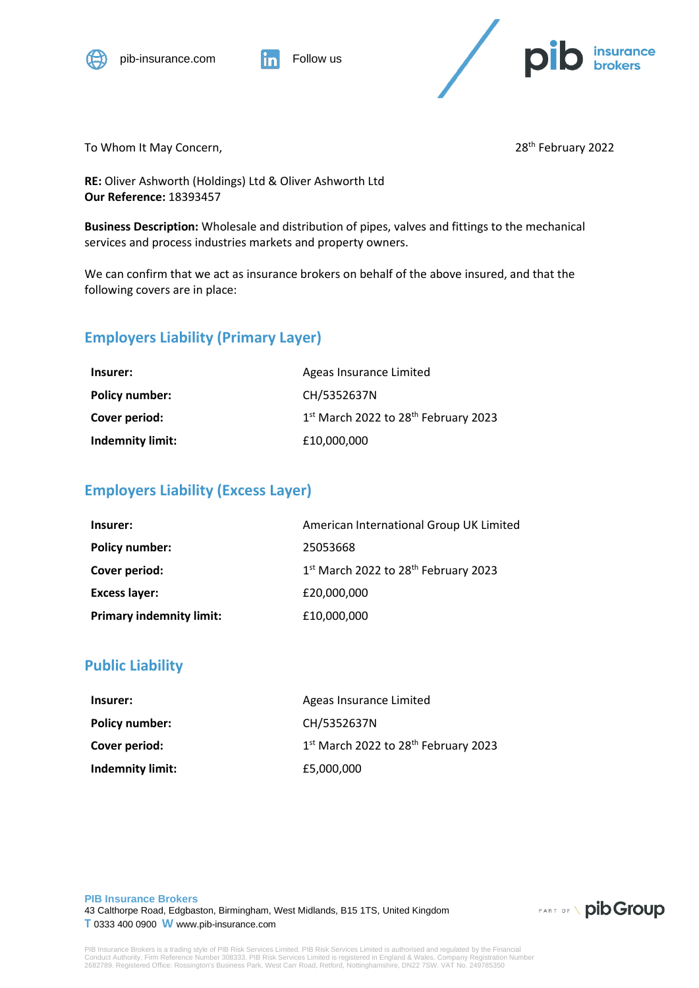



To Whom It May Concern, The Concerners of the Contract of the Concerners of the 28<sup>th</sup> February 2022

**RE:** Oliver Ashworth (Holdings) Ltd & Oliver Ashworth Ltd **Our Reference:** 18393457

**Business Description:** Wholesale and distribution of pipes, valves and fittings to the mechanical services and process industries markets and property owners.

We can confirm that we act as insurance brokers on behalf of the above insured, and that the following covers are in place:

## **Employers Liability (Primary Layer)**

| Insurer:                | Ageas Insurance Limited              |
|-------------------------|--------------------------------------|
| Policy number:          | CH/5352637N                          |
| Cover period:           | 1st March 2022 to 28th February 2023 |
| <b>Indemnity limit:</b> | £10,000,000                          |

#### **Employers Liability (Excess Layer)**

| Insurer:                        | American International Group UK Limited |
|---------------------------------|-----------------------------------------|
| <b>Policy number:</b>           | 25053668                                |
| Cover period:                   | 1st March 2022 to 28th February 2023    |
| <b>Excess layer:</b>            | £20,000,000                             |
| <b>Primary indemnity limit:</b> | £10,000,000                             |

### **Public Liability**

| Insurer:                | Ageas Insurance Limited                                      |
|-------------------------|--------------------------------------------------------------|
| Policy number:          | CH/5352637N                                                  |
| Cover period:           | 1 <sup>st</sup> March 2022 to 28 <sup>th</sup> February 2023 |
| <b>Indemnity limit:</b> | £5,000,000                                                   |

**PIB Insurance Brokers** 43 Calthorpe Road, Edgbaston, Birmingham, West Midlands, B15 1TS, United Kingdom **T** 0333 400 0900 **W** www.pib-insurance.com

**PART OF \ pib Group** 

PIB Insurance Brokers is a trading style of PIB Risk Services Limited. PIB Risk Services Limited is authorised and regulated by the Financial<br>Conduct Authority, Firm Reference Number 308333. PIB Risk Services Limited is re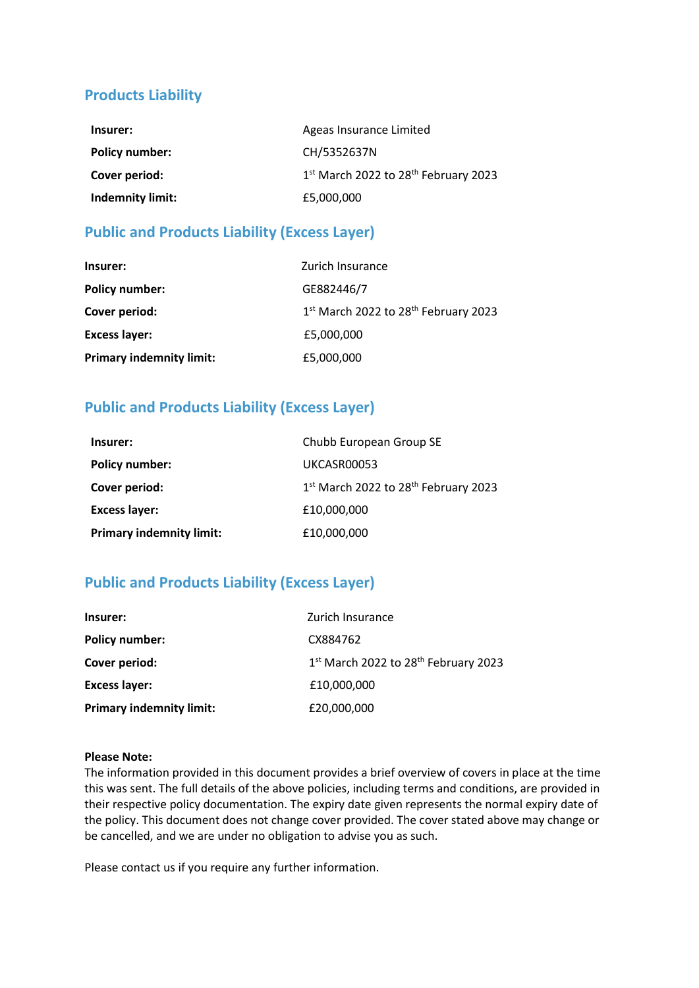# **Products Liability**

| Insurer:              | Ageas Insurance Limited                                      |
|-----------------------|--------------------------------------------------------------|
| <b>Policy number:</b> | CH/5352637N                                                  |
| Cover period:         | 1 <sup>st</sup> March 2022 to 28 <sup>th</sup> February 2023 |
| Indemnity limit:      | £5,000,000                                                   |

## **Public and Products Liability (Excess Layer)**

| Insurer:                        | Zurich Insurance                                 |
|---------------------------------|--------------------------------------------------|
| <b>Policy number:</b>           | GE882446/7                                       |
| Cover period:                   | 1st March 2022 to 28 <sup>th</sup> February 2023 |
| <b>Excess layer:</b>            | £5,000,000                                       |
| <b>Primary indemnity limit:</b> | £5,000,000                                       |

# **Public and Products Liability (Excess Layer)**

| Insurer:                        | Chubb European Group SE              |
|---------------------------------|--------------------------------------|
| <b>Policy number:</b>           | UKCASR00053                          |
| Cover period:                   | 1st March 2022 to 28th February 2023 |
| <b>Excess layer:</b>            | £10,000,000                          |
| <b>Primary indemnity limit:</b> | £10,000,000                          |

# **Public and Products Liability (Excess Layer)**

| Insurer:                        | Zurich Insurance                                 |
|---------------------------------|--------------------------------------------------|
| <b>Policy number:</b>           | CX884762                                         |
| Cover period:                   | 1st March 2022 to 28 <sup>th</sup> February 2023 |
| <b>Excess layer:</b>            | £10,000,000                                      |
| <b>Primary indemnity limit:</b> | £20,000,000                                      |

#### **Please Note:**

The information provided in this document provides a brief overview of covers in place at the time this was sent. The full details of the above policies, including terms and conditions, are provided in their respective policy documentation. The expiry date given represents the normal expiry date of the policy. This document does not change cover provided. The cover stated above may change or be cancelled, and we are under no obligation to advise you as such.

Please contact us if you require any further information.